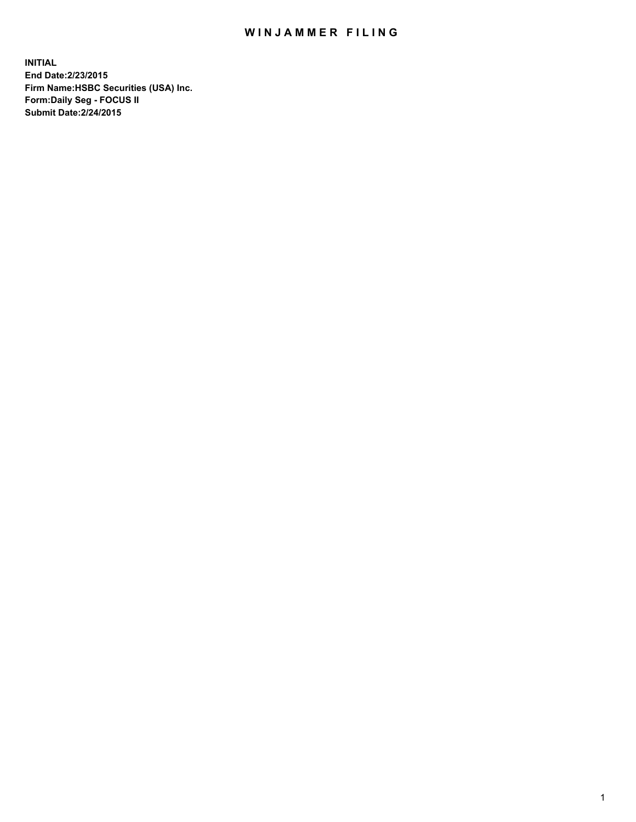## WIN JAMMER FILING

**INITIAL End Date:2/23/2015 Firm Name:HSBC Securities (USA) Inc. Form:Daily Seg - FOCUS II Submit Date:2/24/2015**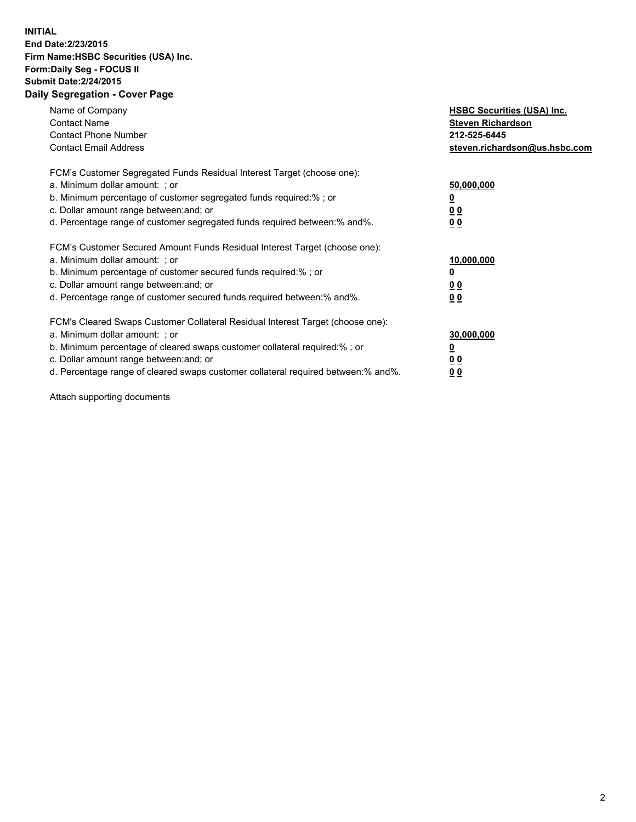## **INITIAL End Date:2/23/2015 Firm Name:HSBC Securities (USA) Inc. Form:Daily Seg - FOCUS II Submit Date:2/24/2015 Daily Segregation - Cover Page**

| Name of Company<br><b>Contact Name</b><br><b>Contact Phone Number</b><br><b>Contact Email Address</b>                                                                                                                                                                                                                          | <b>HSBC Securities (USA) Inc.</b><br><b>Steven Richardson</b><br>212-525-6445<br>steven.richardson@us.hsbc.com |
|--------------------------------------------------------------------------------------------------------------------------------------------------------------------------------------------------------------------------------------------------------------------------------------------------------------------------------|----------------------------------------------------------------------------------------------------------------|
| FCM's Customer Segregated Funds Residual Interest Target (choose one):<br>a. Minimum dollar amount: ; or<br>b. Minimum percentage of customer segregated funds required:%; or<br>c. Dollar amount range between: and; or<br>d. Percentage range of customer segregated funds required between: % and %.                        | 50,000,000<br>0 <sub>0</sub><br>0 <sub>0</sub>                                                                 |
| FCM's Customer Secured Amount Funds Residual Interest Target (choose one):<br>a. Minimum dollar amount: ; or<br>b. Minimum percentage of customer secured funds required:%; or<br>c. Dollar amount range between: and; or<br>d. Percentage range of customer secured funds required between:% and%.                            | 10,000,000<br><u>0</u><br>0 <sub>0</sub><br>0 <sub>0</sub>                                                     |
| FCM's Cleared Swaps Customer Collateral Residual Interest Target (choose one):<br>a. Minimum dollar amount: ; or<br>b. Minimum percentage of cleared swaps customer collateral required:% ; or<br>c. Dollar amount range between: and; or<br>d. Percentage range of cleared swaps customer collateral required between:% and%. | 30,000,000<br>00<br><u>00</u>                                                                                  |

Attach supporting documents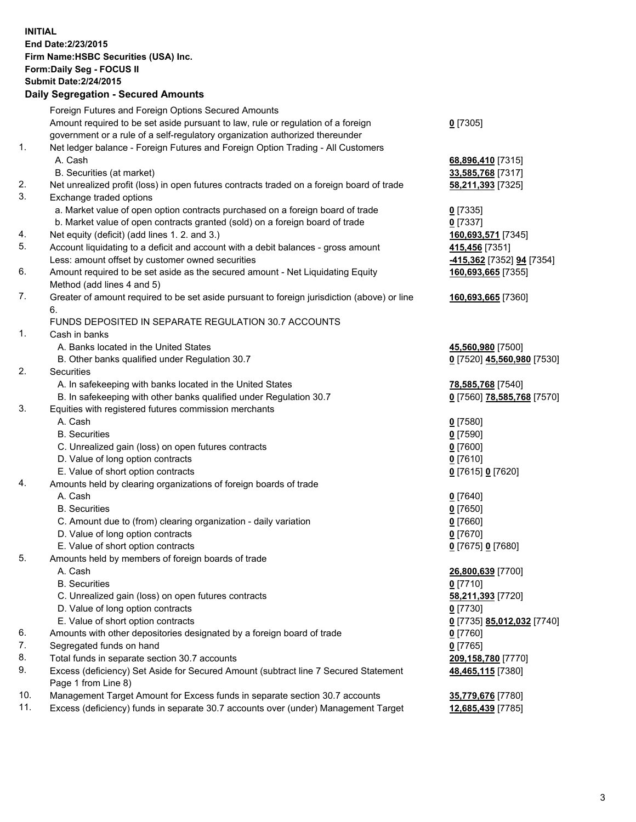**INITIAL End Date:2/23/2015 Firm Name:HSBC Securities (USA) Inc. Form:Daily Seg - FOCUS II Submit Date:2/24/2015 Daily Segregation - Secured Amounts**

|     | Daily Jegregation - Jeculed Aniounts                                                        |                            |
|-----|---------------------------------------------------------------------------------------------|----------------------------|
|     | Foreign Futures and Foreign Options Secured Amounts                                         |                            |
|     | Amount required to be set aside pursuant to law, rule or regulation of a foreign            | $0$ [7305]                 |
|     | government or a rule of a self-regulatory organization authorized thereunder                |                            |
| 1.  | Net ledger balance - Foreign Futures and Foreign Option Trading - All Customers             |                            |
|     | A. Cash                                                                                     | 68,896,410 [7315]          |
|     | B. Securities (at market)                                                                   | 33,585,768 [7317]          |
| 2.  | Net unrealized profit (loss) in open futures contracts traded on a foreign board of trade   | 58,211,393 [7325]          |
| 3.  | Exchange traded options                                                                     |                            |
|     | a. Market value of open option contracts purchased on a foreign board of trade              | $0$ [7335]                 |
|     | b. Market value of open contracts granted (sold) on a foreign board of trade                | $0$ [7337]                 |
| 4.  | Net equity (deficit) (add lines 1.2. and 3.)                                                | 160,693,571 [7345]         |
| 5.  | Account liquidating to a deficit and account with a debit balances - gross amount           | 415,456 [7351]             |
|     | Less: amount offset by customer owned securities                                            | -415,362 [7352] 94 [7354]  |
| 6.  | Amount required to be set aside as the secured amount - Net Liquidating Equity              | 160,693,665 [7355]         |
|     | Method (add lines 4 and 5)                                                                  |                            |
| 7.  | Greater of amount required to be set aside pursuant to foreign jurisdiction (above) or line | 160,693,665 [7360]         |
|     | 6.                                                                                          |                            |
|     | FUNDS DEPOSITED IN SEPARATE REGULATION 30.7 ACCOUNTS                                        |                            |
| 1.  | Cash in banks                                                                               |                            |
|     | A. Banks located in the United States                                                       | 45,560,980 [7500]          |
|     | B. Other banks qualified under Regulation 30.7                                              | 0 [7520] 45,560,980 [7530] |
| 2.  | Securities                                                                                  |                            |
|     | A. In safekeeping with banks located in the United States                                   | 78,585,768 [7540]          |
|     | B. In safekeeping with other banks qualified under Regulation 30.7                          | 0 [7560] 78,585,768 [7570] |
| 3.  | Equities with registered futures commission merchants                                       |                            |
|     | A. Cash                                                                                     | $0$ [7580]                 |
|     | <b>B.</b> Securities                                                                        | $0$ [7590]                 |
|     | C. Unrealized gain (loss) on open futures contracts                                         | $0$ [7600]                 |
|     | D. Value of long option contracts                                                           | $0$ [7610]                 |
|     | E. Value of short option contracts                                                          | 0 [7615] 0 [7620]          |
| 4.  | Amounts held by clearing organizations of foreign boards of trade                           |                            |
|     | A. Cash                                                                                     | $0$ [7640]                 |
|     | <b>B.</b> Securities                                                                        | $0$ [7650]                 |
|     | C. Amount due to (from) clearing organization - daily variation                             | $0$ [7660]                 |
|     | D. Value of long option contracts                                                           | $0$ [7670]                 |
|     | E. Value of short option contracts                                                          | 0 [7675] 0 [7680]          |
| 5.  | Amounts held by members of foreign boards of trade                                          |                            |
|     | A. Cash                                                                                     | 26,800,639 [7700]          |
|     | <b>B.</b> Securities                                                                        | $0$ [7710]                 |
|     | C. Unrealized gain (loss) on open futures contracts                                         | 58,211,393 [7720]          |
|     | D. Value of long option contracts                                                           | $0$ [7730]                 |
|     | E. Value of short option contracts                                                          | 0 [7735] 85,012,032 [7740] |
| 6.  | Amounts with other depositories designated by a foreign board of trade                      | 0 [7760]                   |
| 7.  | Segregated funds on hand                                                                    | $0$ [7765]                 |
| 8.  | Total funds in separate section 30.7 accounts                                               | 209,158,780 [7770]         |
| 9.  | Excess (deficiency) Set Aside for Secured Amount (subtract line 7 Secured Statement         | 48,465,115 [7380]          |
|     | Page 1 from Line 8)                                                                         |                            |
| 10. | Management Target Amount for Excess funds in separate section 30.7 accounts                 | 35,779,676 [7780]          |
| 11. | Excess (deficiency) funds in separate 30.7 accounts over (under) Management Target          | 12,685,439 [7785]          |
|     |                                                                                             |                            |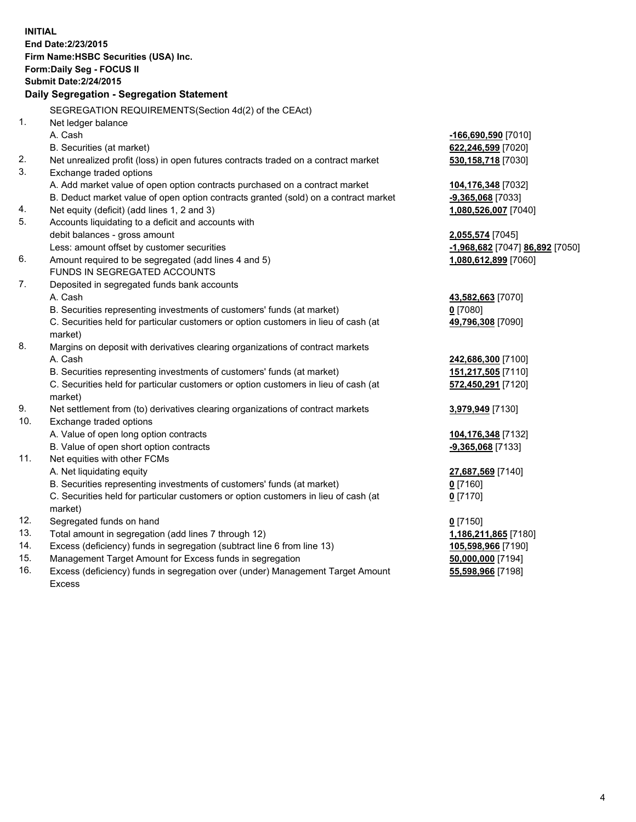**INITIAL End Date:2/23/2015 Firm Name:HSBC Securities (USA) Inc. Form:Daily Seg - FOCUS II Submit Date:2/24/2015 Daily Segregation - Segregation Statement** SEGREGATION REQUIREMENTS(Section 4d(2) of the CEAct) 1. Net ledger balance A. Cash **-166,690,590** [7010] B. Securities (at market) **622,246,599** [7020] 2. Net unrealized profit (loss) in open futures contracts traded on a contract market **530,158,718** [7030] 3. Exchange traded options A. Add market value of open option contracts purchased on a contract market **104,176,348** [7032] B. Deduct market value of open option contracts granted (sold) on a contract market **-9,365,068** [7033] 4. Net equity (deficit) (add lines 1, 2 and 3) **1,080,526,007** [7040] 5. Accounts liquidating to a deficit and accounts with debit balances - gross amount **2,055,574** [7045] Less: amount offset by customer securities **-1,968,682** [7047] **86,892** [7050] 6. Amount required to be segregated (add lines 4 and 5) **1,080,612,899** [7060] FUNDS IN SEGREGATED ACCOUNTS 7. Deposited in segregated funds bank accounts A. Cash **43,582,663** [7070] B. Securities representing investments of customers' funds (at market) **0** [7080] C. Securities held for particular customers or option customers in lieu of cash (at market) **49,796,308** [7090] 8. Margins on deposit with derivatives clearing organizations of contract markets A. Cash **242,686,300** [7100] B. Securities representing investments of customers' funds (at market) **151,217,505** [7110] C. Securities held for particular customers or option customers in lieu of cash (at market) **572,450,291** [7120] 9. Net settlement from (to) derivatives clearing organizations of contract markets **3,979,949** [7130] 10. Exchange traded options A. Value of open long option contracts **104,176,348** [7132] B. Value of open short option contracts **-9,365,068** [7133] 11. Net equities with other FCMs A. Net liquidating equity **27,687,569** [7140] B. Securities representing investments of customers' funds (at market) **0** [7160] C. Securities held for particular customers or option customers in lieu of cash (at market) **0** [7170] 12. Segregated funds on hand **0** [7150] 13. Total amount in segregation (add lines 7 through 12) **1,186,211,865** [7180] 14. Excess (deficiency) funds in segregation (subtract line 6 from line 13) **105,598,966** [7190] 15. Management Target Amount for Excess funds in segregation **50,000,000** [7194]

16. Excess (deficiency) funds in segregation over (under) Management Target Amount Excess

**55,598,966** [7198]